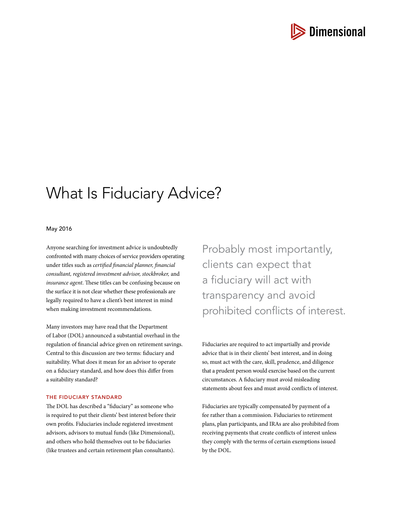

# What Is Fiduciary Advice?

### May 2016

Anyone searching for investment advice is undoubtedly confronted with many choices of service providers operating under titles such as *certified financial planner, financial consultant, registered investment advisor, stockbroker,* and *insurance agent*. These titles can be confusing because on the surface it is not clear whether these professionals are legally required to have a client's best interest in mind when making investment recommendations.

Many investors may have read that the Department of Labor (DOL) announced a substantial overhaul in the regulation of financial advice given on retirement savings. Central to this discussion are two terms: fiduciary and suitability. What does it mean for an advisor to operate on a fiduciary standard, and how does this differ from a suitability standard?

#### THE FIDUCIARY STANDARD

The DOL has described a "fiduciary" as someone who is required to put their clients' best interest before their own profits. Fiduciaries include registered investment advisors, advisors to mutual funds (like Dimensional), and others who hold themselves out to be fiduciaries (like trustees and certain retirement plan consultants).

Probably most importantly, clients can expect that a fiduciary will act with transparency and avoid prohibited conflicts of interest.

Fiduciaries are required to act impartially and provide advice that is in their clients' best interest, and in doing so, must act with the care, skill, prudence, and diligence that a prudent person would exercise based on the current circumstances. A fiduciary must avoid misleading statements about fees and must avoid conflicts of interest.

Fiduciaries are typically compensated by payment of a fee rather than a commission. Fiduciaries to retirement plans, plan participants, and IRAs are also prohibited from receiving payments that create conflicts of interest unless they comply with the terms of certain exemptions issued by the DOL.